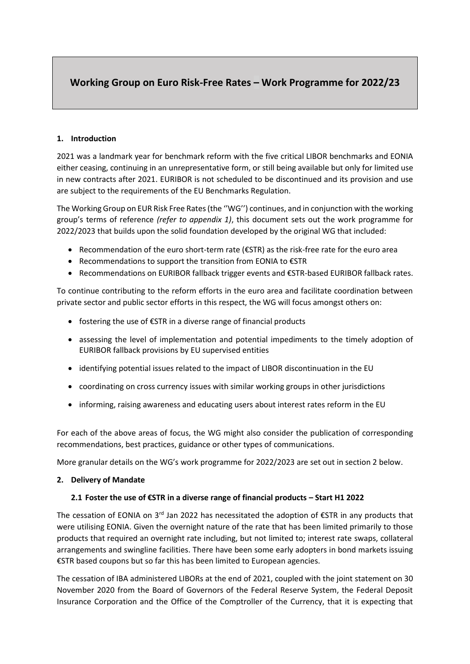# **Working Group on Euro Risk-Free Rates – Work Programme for 2022/23**

## **1. Introduction**

2021 was a landmark year for benchmark reform with the five critical LIBOR benchmarks and EONIA either ceasing, continuing in an unrepresentative form, or still being available but only for limited use in new contracts after 2021. EURIBOR is not scheduled to be discontinued and its provision and use are subject to the requirements of the EU Benchmarks Regulation.

The Working Group on EUR Risk Free Rates (the ''WG'') continues, and in conjunction with the working group's terms of reference *(refer to appendix 1)*, this document sets out the work programme for 2022/2023 that builds upon the solid foundation developed by the original WG that included:

- Recommendation of the euro short-term rate (€STR) as the risk-free rate for the euro area
- Recommendations to support the transition from EONIA to €STR
- Recommendations on EURIBOR fallback trigger events and €STR-based EURIBOR fallback rates.

To continue contributing to the reform efforts in the euro area and facilitate coordination between private sector and public sector efforts in this respect, the WG will focus amongst others on:

- fostering the use of €STR in a diverse range of financial products
- assessing the level of implementation and potential impediments to the timely adoption of EURIBOR fallback provisions by EU supervised entities
- identifying potential issues related to the impact of LIBOR discontinuation in the EU
- coordinating on cross currency issues with similar working groups in other jurisdictions
- informing, raising awareness and educating users about interest rates reform in the EU

For each of the above areas of focus, the WG might also consider the publication of corresponding recommendations, best practices, guidance or other types of communications.

More granular details on the WG's work programme for 2022/2023 are set out in section 2 below.

## **2. Delivery of Mandate**

## **2.1 Foster the use of €STR in a diverse range of financial products – Start H1 2022**

The cessation of EONIA on 3<sup>rd</sup> Jan 2022 has necessitated the adoption of  $\epsilon$ STR in any products that were utilising EONIA. Given the overnight nature of the rate that has been limited primarily to those products that required an overnight rate including, but not limited to; interest rate swaps, collateral arrangements and swingline facilities. There have been some early adopters in bond markets issuing €STR based coupons but so far this has been limited to European agencies.

The cessation of IBA administered LIBORs at the end of 2021, coupled with the joint statement on 30 November 2020 from the Board of Governors of the Federal Reserve System, the Federal Deposit Insurance Corporation and the Office of the Comptroller of the Currency, that it is expecting that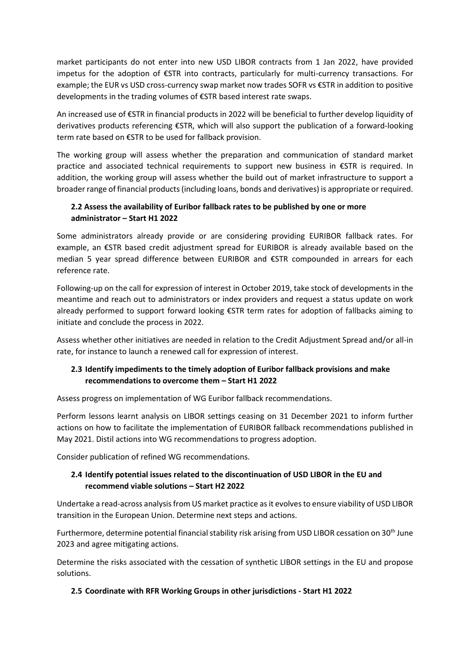market participants do not enter into new USD LIBOR contracts from 1 Jan 2022, have provided impetus for the adoption of €STR into contracts, particularly for multi-currency transactions. For example; the EUR vs USD cross-currency swap market now trades SOFR vs €STR in addition to positive developments in the trading volumes of €STR based interest rate swaps.

An increased use of €STR in financial products in 2022 will be beneficial to further develop liquidity of derivatives products referencing €STR, which will also support the publication of a forward-looking term rate based on €STR to be used for fallback provision.

The working group will assess whether the preparation and communication of standard market practice and associated technical requirements to support new business in €STR is required. In addition, the working group will assess whether the build out of market infrastructure to support a broader range of financial products (including loans, bonds and derivatives) is appropriate or required.

# **2.2 Assess the availability of Euribor fallback rates to be published by one or more administrator – Start H1 2022**

Some administrators already provide or are considering providing EURIBOR fallback rates. For example, an €STR based credit adjustment spread for EURIBOR is already available based on the median 5 year spread difference between EURIBOR and €STR compounded in arrears for each reference rate.

Following-up on the call for expression of interest in October 2019, take stock of developments in the meantime and reach out to administrators or index providers and request a status update on work already performed to support forward looking €STR term rates for adoption of fallbacks aiming to initiate and conclude the process in 2022.

Assess whether other initiatives are needed in relation to the Credit Adjustment Spread and/or all-in rate, for instance to launch a renewed call for expression of interest.

# **2.3 Identify impediments to the timely adoption of Euribor fallback provisions and make recommendations to overcome them – Start H1 2022**

Assess progress on implementation of WG Euribor fallback recommendations.

Perform lessons learnt analysis on LIBOR settings ceasing on 31 December 2021 to inform further actions on how to facilitate the implementation of EURIBOR fallback recommendations published in May 2021. Distil actions into WG recommendations to progress adoption.

Consider publication of refined WG recommendations.

# **2.4 Identify potential issues related to the discontinuation of USD LIBOR in the EU and recommend viable solutions – Start H2 2022**

Undertake a read-across analysis from US market practice as it evolves to ensure viability of USD LIBOR transition in the European Union. Determine next steps and actions.

Furthermore, determine potential financial stability risk arising from USD LIBOR cessation on 30<sup>th</sup> June 2023 and agree mitigating actions.

Determine the risks associated with the cessation of synthetic LIBOR settings in the EU and propose solutions.

## **2.5 Coordinate with RFR Working Groups in other jurisdictions - Start H1 2022**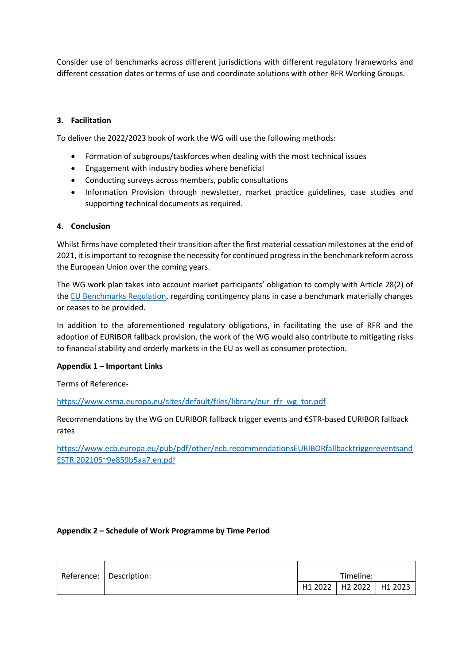Consider use of benchmarks across different jurisdictions with different regulatory frameworks and different cessation dates or terms of use and coordinate solutions with other RFR Working Groups.

### **3. Facilitation**

To deliver the 2022/2023 book of work the WG will use the following methods:

- Formation of subgroups/taskforces when dealing with the most technical issues
- Engagement with industry bodies where beneficial
- Conducting surveys across members, public consultations
- Information Provision through newsletter, market practice guidelines, case studies and supporting technical documents as required.

#### **4. Conclusion**

Whilst firms have completed their transition after the first material cessation milestones at the end of 2021, it is important to recognise the necessity for continued progress in the benchmark reform across the European Union over the coming years.

The WG work plan takes into account market participants' obligation to comply with Article 28(2) of th[e EU Benchmarks Regulation,](https://eur-lex.europa.eu/legal-content/EN/TXT/PDF/?uri=CELEX:02016R1011-20220101&from=EN) regarding contingency plans in case a benchmark materially changes or ceases to be provided.

In addition to the aforementioned regulatory obligations, in facilitating the use of RFR and the adoption of EURIBOR fallback provision, the work of the WG would also contribute to mitigating risks to financial stability and orderly markets in the EU as well as consumer protection.

#### **Appendix 1 – Important Links**

Terms of Reference-

[https://www.esma.europa.eu/sites/default/files/library/eur\\_rfr\\_wg\\_tor.pdf](https://www.esma.europa.eu/sites/default/files/library/eur_rfr_wg_tor.pdf)

Recommendations by the WG on EURIBOR fallback trigger events and €STR-based EURIBOR fallback rates

[https://www.ecb.europa.eu/pub/pdf/other/ecb.recommendationsEURIBORfallbacktriggereventsand](https://www.ecb.europa.eu/pub/pdf/other/ecb.recommendationsEURIBORfallbacktriggereventsandESTR.202105~9e859b5aa7.en.pdf) [ESTR.202105~9e859b5aa7.en.pdf](https://www.ecb.europa.eu/pub/pdf/other/ecb.recommendationsEURIBORfallbacktriggereventsandESTR.202105~9e859b5aa7.en.pdf)

#### **Appendix 2 – Schedule of Work Programme by Time Period**

|  | Reference:   Description: | Timeline: |                             |  |
|--|---------------------------|-----------|-----------------------------|--|
|  |                           |           | H1 2022   H2 2022   H1 2023 |  |